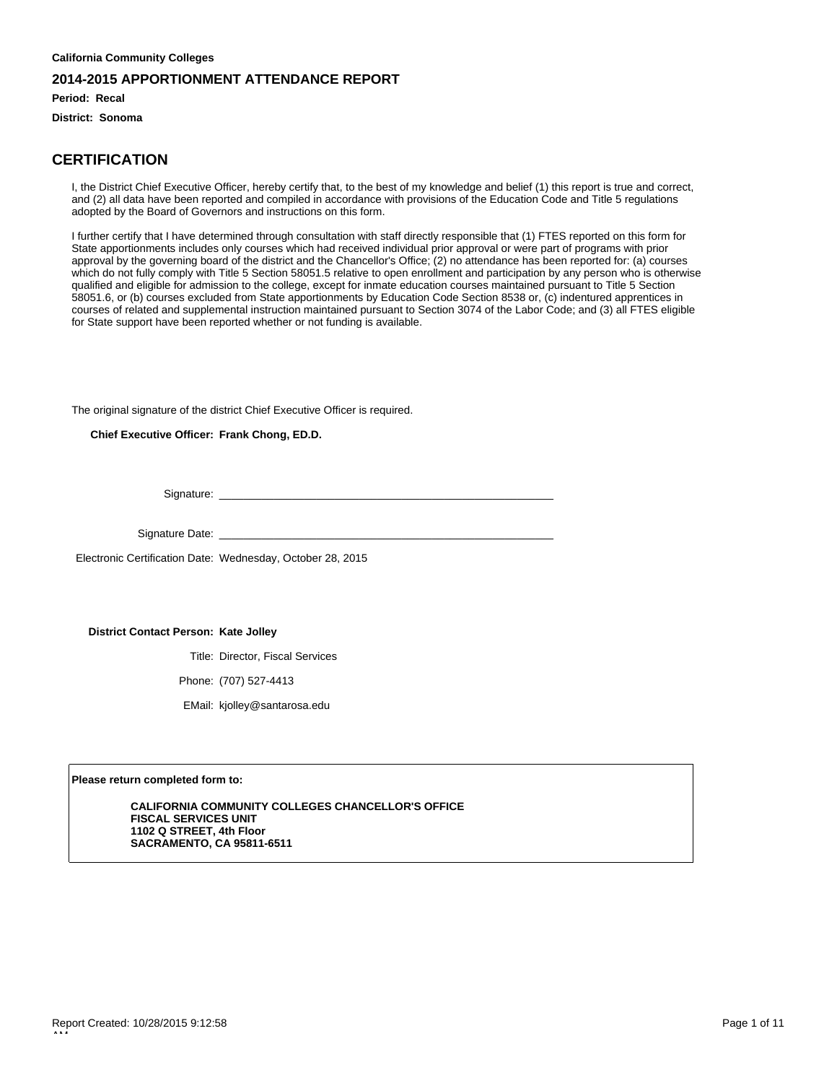**Period: Recal**

**District: Sonoma**

### **CERTIFICATION**

I, the District Chief Executive Officer, hereby certify that, to the best of my knowledge and belief (1) this report is true and correct, and (2) all data have been reported and compiled in accordance with provisions of the Education Code and Title 5 regulations adopted by the Board of Governors and instructions on this form.

I further certify that I have determined through consultation with staff directly responsible that (1) FTES reported on this form for State apportionments includes only courses which had received individual prior approval or were part of programs with prior approval by the governing board of the district and the Chancellor's Office; (2) no attendance has been reported for: (a) courses which do not fully comply with Title 5 Section 58051.5 relative to open enrollment and participation by any person who is otherwise qualified and eligible for admission to the college, except for inmate education courses maintained pursuant to Title 5 Section 58051.6, or (b) courses excluded from State apportionments by Education Code Section 8538 or, (c) indentured apprentices in courses of related and supplemental instruction maintained pursuant to Section 3074 of the Labor Code; and (3) all FTES eligible for State support have been reported whether or not funding is available.

The original signature of the district Chief Executive Officer is required.

**Chief Executive Officer: Frank Chong, ED.D.**

Signature:

Signature Date: \_

Electronic Certification Date: Wednesday, October 28, 2015

**District Contact Person: Kate Jolley**

Title: Director, Fiscal Services

Phone: (707) 527-4413

EMail: kjolley@santarosa.edu

**Please return completed form to:**

**CALIFORNIA COMMUNITY COLLEGES CHANCELLOR'S OFFICE FISCAL SERVICES UNIT 1102 Q STREET, 4th Floor SACRAMENTO, CA 95811-6511**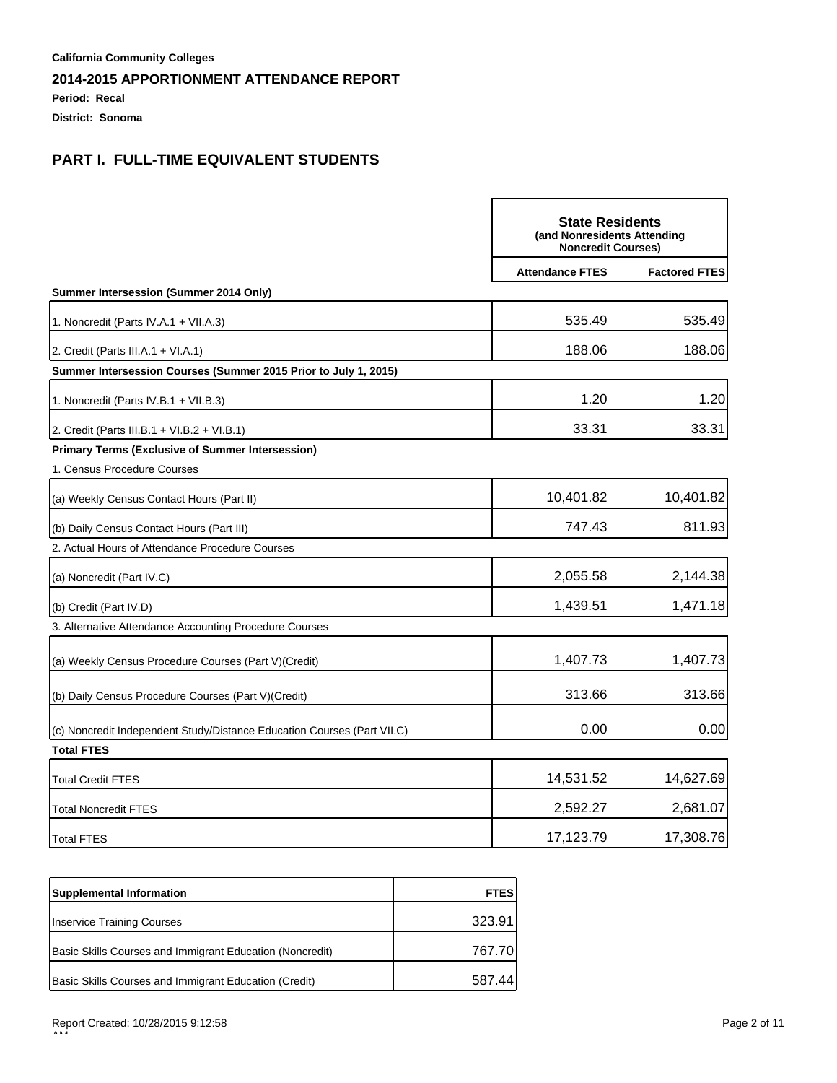**Period: Recal**

**District: Sonoma**

|                                                                         | <b>State Residents</b><br>(and Nonresidents Attending<br><b>Noncredit Courses)</b> |                      |
|-------------------------------------------------------------------------|------------------------------------------------------------------------------------|----------------------|
|                                                                         | <b>Attendance FTES</b>                                                             | <b>Factored FTES</b> |
| Summer Intersession (Summer 2014 Only)                                  |                                                                                    |                      |
| 1. Noncredit (Parts IV.A.1 + VII.A.3)                                   | 535.49                                                                             | 535.49               |
| 2. Credit (Parts III.A.1 + VI.A.1)                                      | 188.06                                                                             | 188.06               |
| Summer Intersession Courses (Summer 2015 Prior to July 1, 2015)         |                                                                                    |                      |
| 1. Noncredit (Parts IV.B.1 + VII.B.3)                                   | 1.20                                                                               | 1.20                 |
| 2. Credit (Parts III.B.1 + VI.B.2 + VI.B.1)                             | 33.31                                                                              | 33.31                |
| <b>Primary Terms (Exclusive of Summer Intersession)</b>                 |                                                                                    |                      |
| 1. Census Procedure Courses                                             |                                                                                    |                      |
| (a) Weekly Census Contact Hours (Part II)                               | 10,401.82                                                                          | 10,401.82            |
| (b) Daily Census Contact Hours (Part III)                               | 747.43                                                                             | 811.93               |
| 2. Actual Hours of Attendance Procedure Courses                         |                                                                                    |                      |
| (a) Noncredit (Part IV.C)                                               | 2,055.58                                                                           | 2,144.38             |
| (b) Credit (Part IV.D)                                                  | 1,439.51                                                                           | 1,471.18             |
| 3. Alternative Attendance Accounting Procedure Courses                  |                                                                                    |                      |
| (a) Weekly Census Procedure Courses (Part V) (Credit)                   | 1,407.73                                                                           | 1,407.73             |
| (b) Daily Census Procedure Courses (Part V) (Credit)                    | 313.66                                                                             | 313.66               |
| (c) Noncredit Independent Study/Distance Education Courses (Part VII.C) | 0.00                                                                               | 0.00                 |
| <b>Total FTES</b>                                                       |                                                                                    |                      |
| <b>Total Credit FTES</b>                                                | 14,531.52                                                                          | 14,627.69            |
| <b>Total Noncredit FTES</b>                                             | 2,592.27                                                                           | 2,681.07             |
| <b>Total FTES</b>                                                       | 17,123.79                                                                          | 17,308.76            |

| <b>Supplemental Information</b>                          | <b>FTES</b> |
|----------------------------------------------------------|-------------|
| <b>Inservice Training Courses</b>                        | 323.91      |
| Basic Skills Courses and Immigrant Education (Noncredit) | 767.70      |
| Basic Skills Courses and Immigrant Education (Credit)    | 587 44      |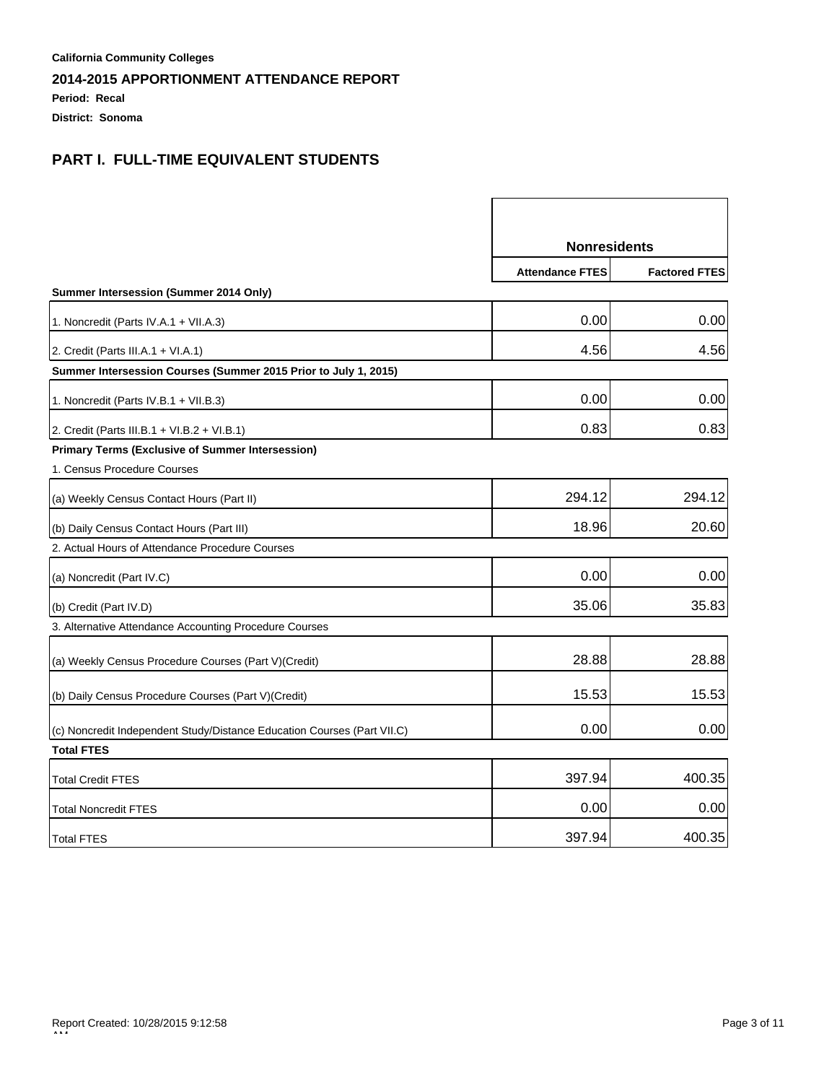**Period: Recal**

**District: Sonoma**

|                                                                         | <b>Nonresidents</b>    |                      |
|-------------------------------------------------------------------------|------------------------|----------------------|
|                                                                         | <b>Attendance FTES</b> | <b>Factored FTES</b> |
| Summer Intersession (Summer 2014 Only)                                  |                        |                      |
| 1. Noncredit (Parts IV.A.1 + VII.A.3)                                   | 0.00                   | 0.00                 |
| 2. Credit (Parts III.A.1 + VI.A.1)                                      | 4.56                   | 4.56                 |
| Summer Intersession Courses (Summer 2015 Prior to July 1, 2015)         |                        |                      |
| 1. Noncredit (Parts IV.B.1 + VII.B.3)                                   | 0.00                   | 0.00                 |
| 2. Credit (Parts III.B.1 + VI.B.2 + VI.B.1)                             | 0.83                   | 0.83                 |
| <b>Primary Terms (Exclusive of Summer Intersession)</b>                 |                        |                      |
| 1. Census Procedure Courses                                             |                        |                      |
| (a) Weekly Census Contact Hours (Part II)                               | 294.12                 | 294.12               |
| (b) Daily Census Contact Hours (Part III)                               | 18.96                  | 20.60                |
| 2. Actual Hours of Attendance Procedure Courses                         |                        |                      |
| (a) Noncredit (Part IV.C)                                               | 0.00                   | 0.00                 |
| (b) Credit (Part IV.D)                                                  | 35.06                  | 35.83                |
| 3. Alternative Attendance Accounting Procedure Courses                  |                        |                      |
| (a) Weekly Census Procedure Courses (Part V)(Credit)                    | 28.88                  | 28.88                |
| (b) Daily Census Procedure Courses (Part V) (Credit)                    | 15.53                  | 15.53                |
| (c) Noncredit Independent Study/Distance Education Courses (Part VII.C) | 0.00                   | 0.00                 |
| <b>Total FTES</b>                                                       |                        |                      |
| <b>Total Credit FTES</b>                                                | 397.94                 | 400.35               |
| <b>Total Noncredit FTES</b>                                             | 0.00                   | 0.00                 |
| <b>Total FTES</b>                                                       | 397.94                 | 400.35               |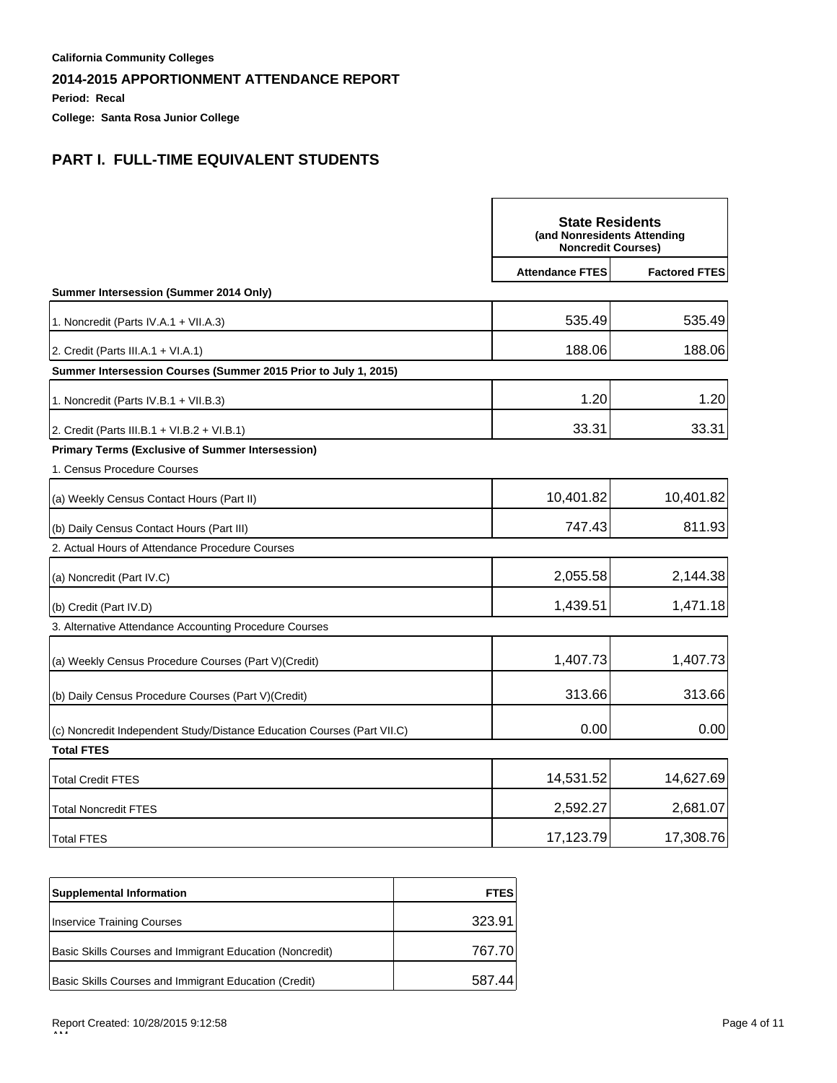**Period: Recal**

**College: Santa Rosa Junior College**

|                                                                         | <b>State Residents</b><br>(and Nonresidents Attending<br><b>Noncredit Courses)</b> |                      |
|-------------------------------------------------------------------------|------------------------------------------------------------------------------------|----------------------|
|                                                                         | <b>Attendance FTES</b>                                                             | <b>Factored FTES</b> |
| Summer Intersession (Summer 2014 Only)                                  |                                                                                    |                      |
| 1. Noncredit (Parts IV.A.1 + VII.A.3)                                   | 535.49                                                                             | 535.49               |
| 2. Credit (Parts III.A.1 + VI.A.1)                                      | 188.06                                                                             | 188.06               |
| Summer Intersession Courses (Summer 2015 Prior to July 1, 2015)         |                                                                                    |                      |
| 1. Noncredit (Parts IV.B.1 + VII.B.3)                                   | 1.20                                                                               | 1.20                 |
| 2. Credit (Parts III.B.1 + VI.B.2 + VI.B.1)                             | 33.31                                                                              | 33.31                |
| <b>Primary Terms (Exclusive of Summer Intersession)</b>                 |                                                                                    |                      |
| 1. Census Procedure Courses                                             |                                                                                    |                      |
| (a) Weekly Census Contact Hours (Part II)                               | 10,401.82                                                                          | 10,401.82            |
| (b) Daily Census Contact Hours (Part III)                               | 747.43                                                                             | 811.93               |
| 2. Actual Hours of Attendance Procedure Courses                         |                                                                                    |                      |
| (a) Noncredit (Part IV.C)                                               | 2,055.58                                                                           | 2,144.38             |
| (b) Credit (Part IV.D)                                                  | 1,439.51                                                                           | 1,471.18             |
| 3. Alternative Attendance Accounting Procedure Courses                  |                                                                                    |                      |
| (a) Weekly Census Procedure Courses (Part V) (Credit)                   | 1,407.73                                                                           | 1,407.73             |
| (b) Daily Census Procedure Courses (Part V)(Credit)                     | 313.66                                                                             | 313.66               |
| (c) Noncredit Independent Study/Distance Education Courses (Part VII.C) | 0.00                                                                               | 0.00                 |
| <b>Total FTES</b>                                                       |                                                                                    |                      |
| <b>Total Credit FTES</b>                                                | 14,531.52                                                                          | 14,627.69            |
| <b>Total Noncredit FTES</b>                                             | 2,592.27                                                                           | 2,681.07             |
| <b>Total FTES</b>                                                       | 17,123.79                                                                          | 17,308.76            |

| <b>Supplemental Information</b>                          | <b>FTES</b> |
|----------------------------------------------------------|-------------|
| Inservice Training Courses                               | 323.91      |
| Basic Skills Courses and Immigrant Education (Noncredit) | 767.70      |
| Basic Skills Courses and Immigrant Education (Credit)    | 587 44      |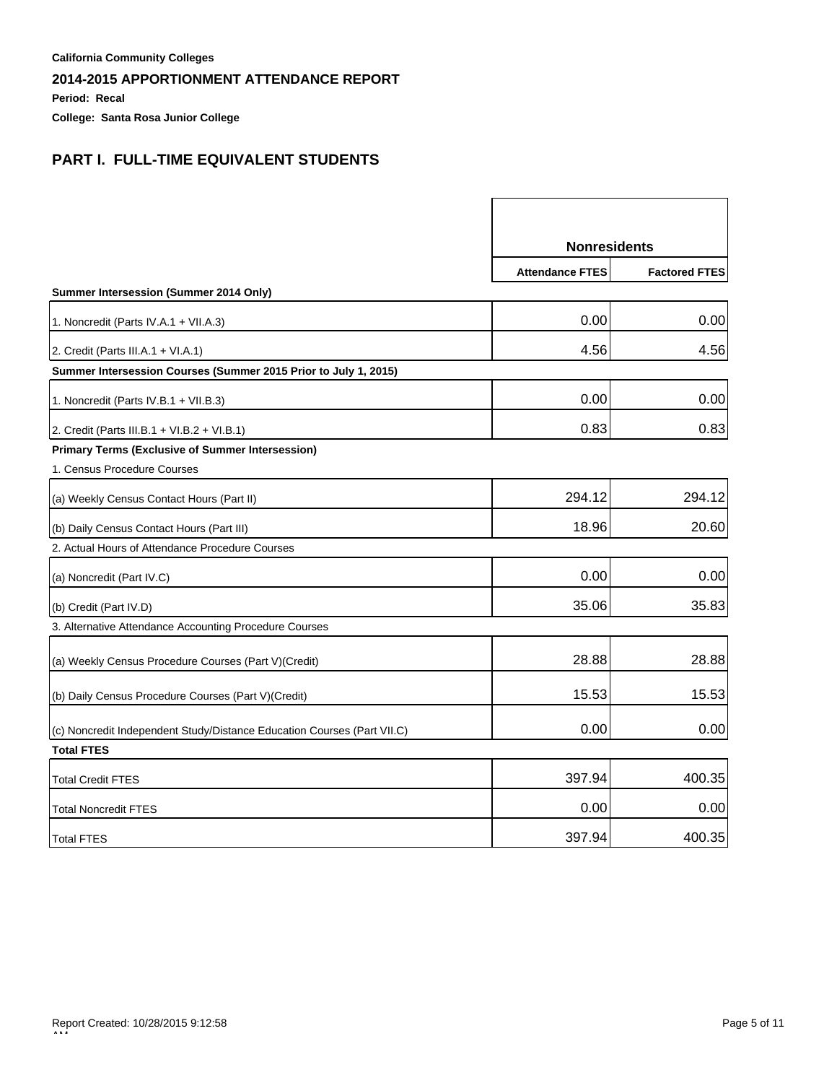**Period: Recal**

**College: Santa Rosa Junior College**

|                                                                         | <b>Nonresidents</b>    |                      |
|-------------------------------------------------------------------------|------------------------|----------------------|
|                                                                         | <b>Attendance FTES</b> | <b>Factored FTES</b> |
| Summer Intersession (Summer 2014 Only)                                  |                        |                      |
| 1. Noncredit (Parts IV.A.1 + VII.A.3)                                   | 0.00                   | 0.00                 |
| 2. Credit (Parts III.A.1 + VI.A.1)                                      | 4.56                   | 4.56                 |
| Summer Intersession Courses (Summer 2015 Prior to July 1, 2015)         |                        |                      |
| 1. Noncredit (Parts IV.B.1 + VII.B.3)                                   | 0.00                   | 0.00                 |
| 2. Credit (Parts III.B.1 + VI.B.2 + VI.B.1)                             | 0.83                   | 0.83                 |
| <b>Primary Terms (Exclusive of Summer Intersession)</b>                 |                        |                      |
| 1. Census Procedure Courses                                             |                        |                      |
| (a) Weekly Census Contact Hours (Part II)                               | 294.12                 | 294.12               |
| (b) Daily Census Contact Hours (Part III)                               | 18.96                  | 20.60                |
| 2. Actual Hours of Attendance Procedure Courses                         |                        |                      |
| (a) Noncredit (Part IV.C)                                               | 0.00                   | 0.00                 |
| (b) Credit (Part IV.D)                                                  | 35.06                  | 35.83                |
| 3. Alternative Attendance Accounting Procedure Courses                  |                        |                      |
| (a) Weekly Census Procedure Courses (Part V) (Credit)                   | 28.88                  | 28.88                |
| (b) Daily Census Procedure Courses (Part V)(Credit)                     | 15.53                  | 15.53                |
| (c) Noncredit Independent Study/Distance Education Courses (Part VII.C) | 0.00                   | 0.00                 |
| <b>Total FTES</b>                                                       |                        |                      |
| Total Credit FTES                                                       | 397.94                 | 400.35               |
| <b>Total Noncredit FTES</b>                                             | 0.00                   | 0.00                 |
| <b>Total FTES</b>                                                       | 397.94                 | 400.35               |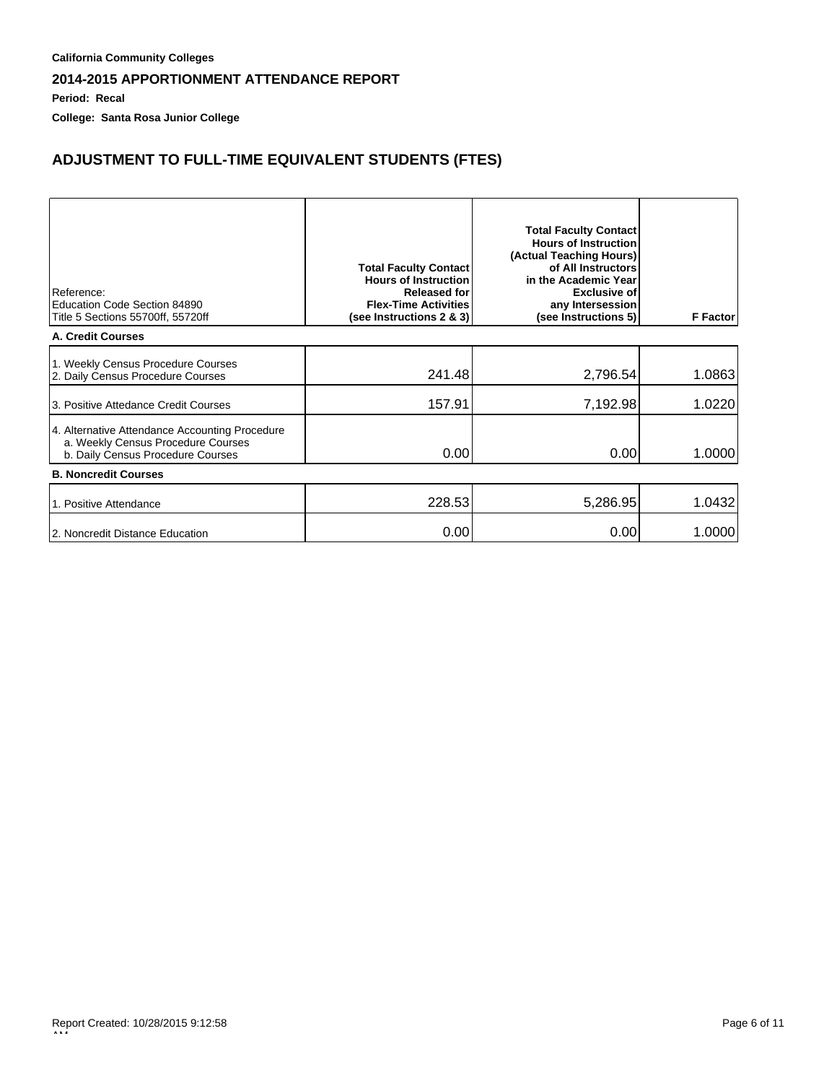**Period: Recal**

**College: Santa Rosa Junior College**

# **ADJUSTMENT TO FULL-TIME EQUIVALENT STUDENTS (FTES)**

| Reference:<br>Education Code Section 84890<br>Title 5 Sections 55700ff, 55720ff                                           | <b>Total Faculty Contact</b><br><b>Hours of Instruction</b><br><b>Released for</b><br><b>Flex-Time Activities</b><br>(see Instructions 2 & 3) | <b>Total Faculty Contact</b><br><b>Hours of Instruction</b><br>(Actual Teaching Hours)<br>of All Instructors<br>in the Academic Year<br><b>Exclusive of</b><br>any Intersession<br>(see Instructions 5) | <b>F</b> Factor |  |  |
|---------------------------------------------------------------------------------------------------------------------------|-----------------------------------------------------------------------------------------------------------------------------------------------|---------------------------------------------------------------------------------------------------------------------------------------------------------------------------------------------------------|-----------------|--|--|
| A. Credit Courses                                                                                                         |                                                                                                                                               |                                                                                                                                                                                                         |                 |  |  |
| 1. Weekly Census Procedure Courses<br>2. Daily Census Procedure Courses                                                   | 241.48                                                                                                                                        | 2,796.54                                                                                                                                                                                                | 1.0863          |  |  |
| 13. Positive Attedance Credit Courses                                                                                     | 157.91                                                                                                                                        | 7,192.98                                                                                                                                                                                                | 1.0220          |  |  |
| 4. Alternative Attendance Accounting Procedure<br>a. Weekly Census Procedure Courses<br>b. Daily Census Procedure Courses | 0.00                                                                                                                                          | 0.00                                                                                                                                                                                                    | 1.0000          |  |  |
| <b>B. Noncredit Courses</b>                                                                                               |                                                                                                                                               |                                                                                                                                                                                                         |                 |  |  |
| 1. Positive Attendance                                                                                                    | 228.53                                                                                                                                        | 5,286.95                                                                                                                                                                                                | 1.0432          |  |  |
| 2. Noncredit Distance Education                                                                                           | 0.00                                                                                                                                          | 0.00                                                                                                                                                                                                    | 1.0000          |  |  |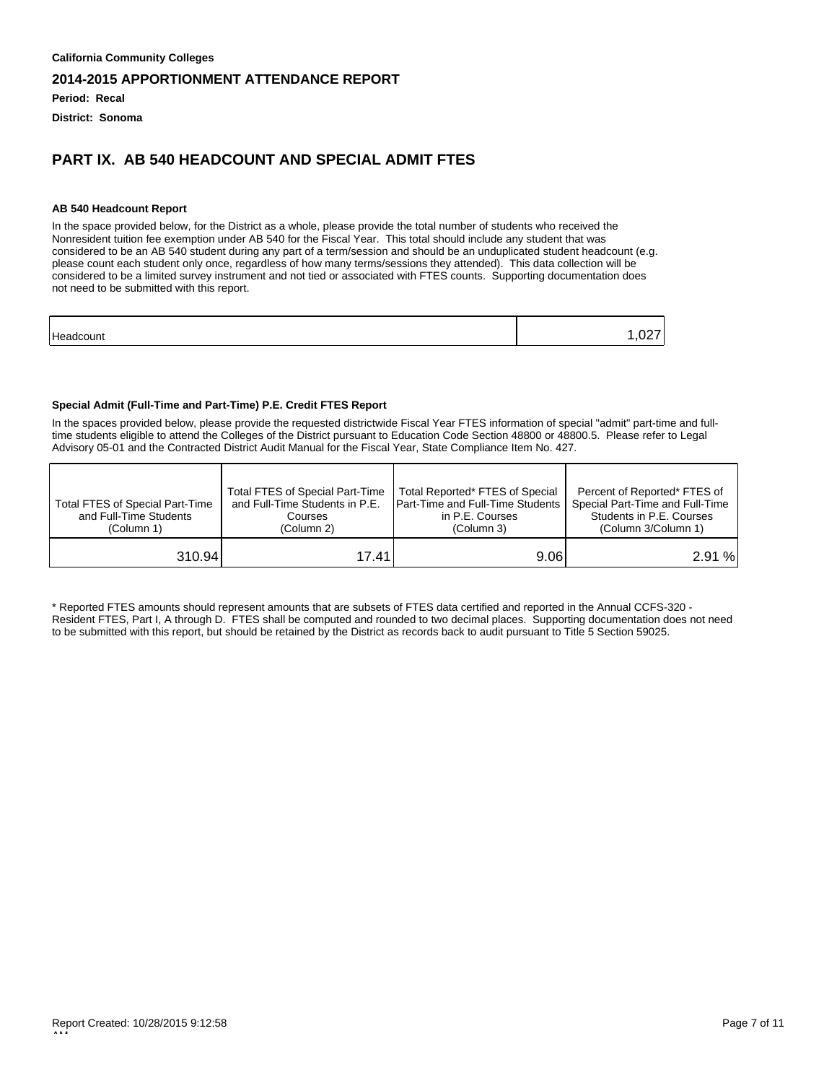**Period: Recal**

**District: Sonoma**

### **PART IX. AB 540 HEADCOUNT AND SPECIAL ADMIT FTES**

#### **AB 540 Headcount Report**

In the space provided below, for the District as a whole, please provide the total number of students who received the Nonresident tuition fee exemption under AB 540 for the Fiscal Year. This total should include any student that was considered to be an AB 540 student during any part of a term/session and should be an unduplicated student headcount (e.g. please count each student only once, regardless of how many terms/sessions they attended). This data collection will be considered to be a limited survey instrument and not tied or associated with FTES counts. Supporting documentation does not need to be submitted with this report.

| Headcoun | . |
|----------|---|
|          |   |

#### **Special Admit (Full-Time and Part-Time) P.E. Credit FTES Report**

In the spaces provided below, please provide the requested districtwide Fiscal Year FTES information of special "admit" part-time and fulltime students eligible to attend the Colleges of the District pursuant to Education Code Section 48800 or 48800.5. Please refer to Legal Advisory 05-01 and the Contracted District Audit Manual for the Fiscal Year, State Compliance Item No. 427.

| Total FTES of Special Part-Time<br>and Full-Time Students<br>(Column 1) | Total FTES of Special Part-Time<br>and Full-Time Students in P.E.<br>Courses<br>(Column 2) | Total Reported* FTES of Special<br><b>IPart-Time and Full-Time Students I</b><br>in P.E. Courses<br>(Column 3) | Percent of Reported* FTES of<br>Special Part-Time and Full-Time<br>Students in P.E. Courses<br>(Column 3/Column 1) |
|-------------------------------------------------------------------------|--------------------------------------------------------------------------------------------|----------------------------------------------------------------------------------------------------------------|--------------------------------------------------------------------------------------------------------------------|
| 310.94                                                                  | 17.41                                                                                      | 9.061                                                                                                          | 2.91%                                                                                                              |

\* Reported FTES amounts should represent amounts that are subsets of FTES data certified and reported in the Annual CCFS-320 - Resident FTES, Part I, A through D. FTES shall be computed and rounded to two decimal places. Supporting documentation does not need to be submitted with this report, but should be retained by the District as records back to audit pursuant to Title 5 Section 59025.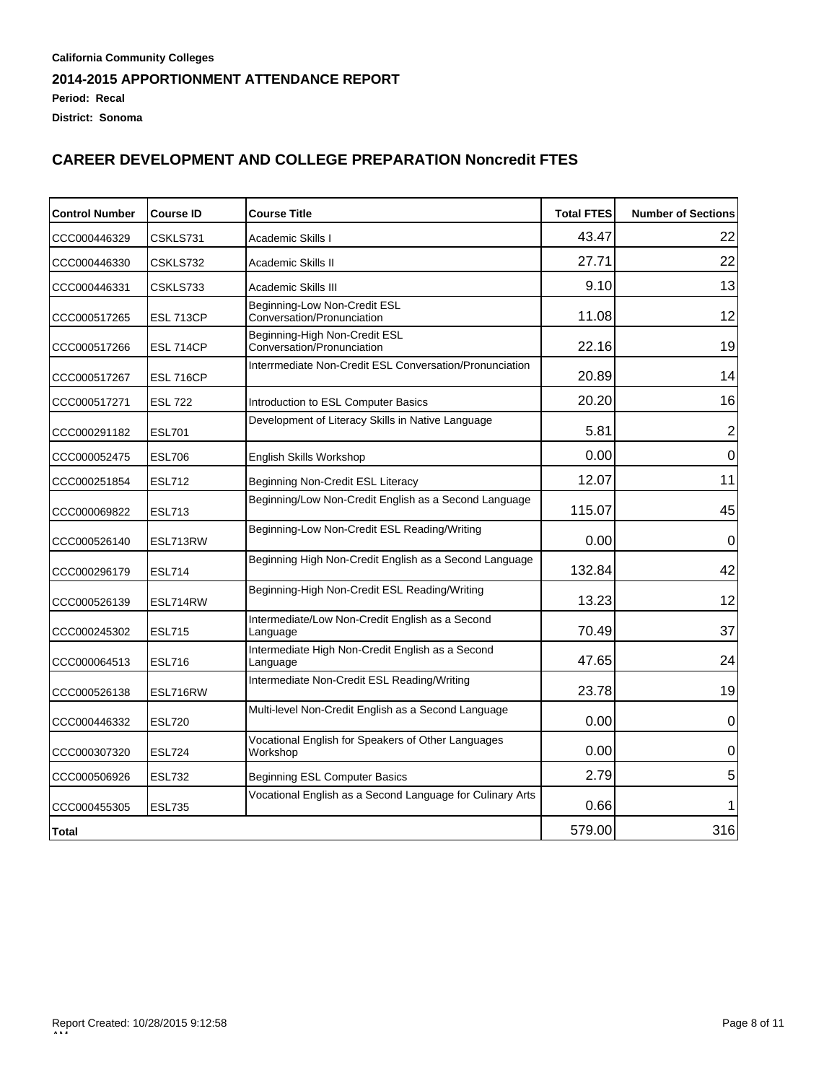**Period: Recal**

**District: Sonoma**

# **CAREER DEVELOPMENT AND COLLEGE PREPARATION Noncredit FTES**

| <b>Control Number</b> | <b>Course ID</b> | <b>Course Title</b>                                            | <b>Total FTES</b> | <b>Number of Sections</b> |
|-----------------------|------------------|----------------------------------------------------------------|-------------------|---------------------------|
| CCC000446329          | CSKLS731         | Academic Skills I                                              | 43.47             | 22                        |
| CCC000446330          | CSKLS732         | Academic Skills II                                             | 27.71             | 22                        |
| CCC000446331          | CSKLS733         | Academic Skills III                                            | 9.10              | 13                        |
| CCC000517265          | <b>ESL 713CP</b> | Beginning-Low Non-Credit ESL<br>Conversation/Pronunciation     | 11.08             | 12                        |
| CCC000517266          | <b>ESL 714CP</b> | Beginning-High Non-Credit ESL<br>Conversation/Pronunciation    | 22.16             | 19                        |
| CCC000517267          | <b>ESL 716CP</b> | Interrmediate Non-Credit ESL Conversation/Pronunciation        | 20.89             | 14                        |
| CCC000517271          | <b>ESL 722</b>   | Introduction to ESL Computer Basics                            | 20.20             | 16                        |
| CCC000291182          | <b>ESL701</b>    | Development of Literacy Skills in Native Language              | 5.81              | 2                         |
| CCC000052475          | <b>ESL706</b>    | English Skills Workshop                                        | 0.00              | $\mathbf 0$               |
| CCC000251854          | <b>ESL712</b>    | Beginning Non-Credit ESL Literacy                              | 12.07             | 11                        |
| CCC000069822          | <b>ESL713</b>    | Beginning/Low Non-Credit English as a Second Language          | 115.07            | 45                        |
| CCC000526140          | ESL713RW         | Beginning-Low Non-Credit ESL Reading/Writing                   | 0.00              | $\mathbf 0$               |
| CCC000296179          | <b>ESL714</b>    | Beginning High Non-Credit English as a Second Language         | 132.84            | 42                        |
| CCC000526139          | ESL714RW         | Beginning-High Non-Credit ESL Reading/Writing                  | 13.23             | 12                        |
| CCC000245302          | <b>ESL715</b>    | Intermediate/Low Non-Credit English as a Second<br>Language    | 70.49             | 37                        |
| CCC000064513          | <b>ESL716</b>    | Intermediate High Non-Credit English as a Second<br>Language   | 47.65             | 24                        |
| CCC000526138          | ESL716RW         | Intermediate Non-Credit ESL Reading/Writing                    | 23.78             | 19                        |
| CCC000446332          | <b>ESL720</b>    | Multi-level Non-Credit English as a Second Language            | 0.00              | 0                         |
| CCC000307320          | <b>ESL724</b>    | Vocational English for Speakers of Other Languages<br>Workshop | 0.00              | 0                         |
| CCC000506926          | <b>ESL732</b>    | Beginning ESL Computer Basics                                  | 2.79              | 5                         |
| CCC000455305          | <b>ESL735</b>    | Vocational English as a Second Language for Culinary Arts      | 0.66              | 1                         |
| Total                 |                  |                                                                | 579.00            | 316                       |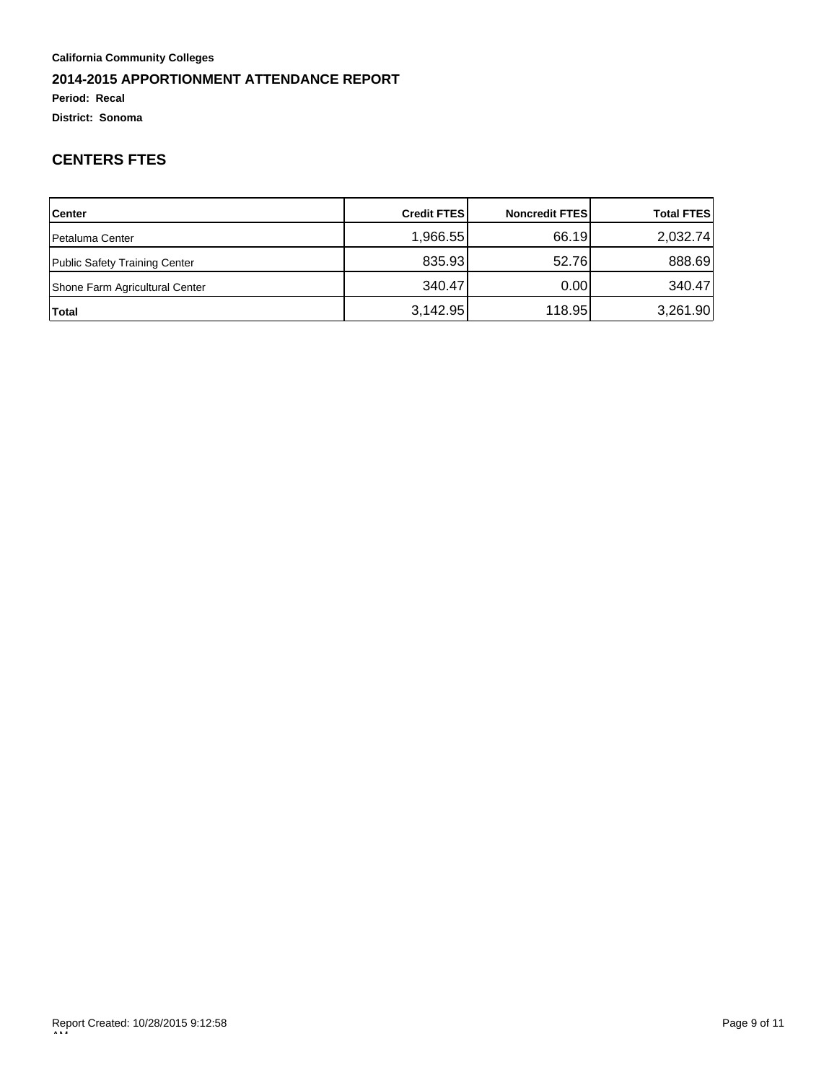### **Period: Recal**

**District: Sonoma**

# **CENTERS FTES**

| <b>Center</b>                  | <b>Credit FTESI</b> | <b>Noncredit FTESI</b> | <b>Total FTES</b> |
|--------------------------------|---------------------|------------------------|-------------------|
| <b>Petaluma Center</b>         | 1,966.55            | 66.19                  | 2,032.74          |
| Public Safety Training Center  | 835.93              | 52.76                  | 888.69            |
| Shone Farm Agricultural Center | 340.47              | 0.001                  | 340.47            |
| Total                          | 3,142.95            | 118.95                 | 3,261.90          |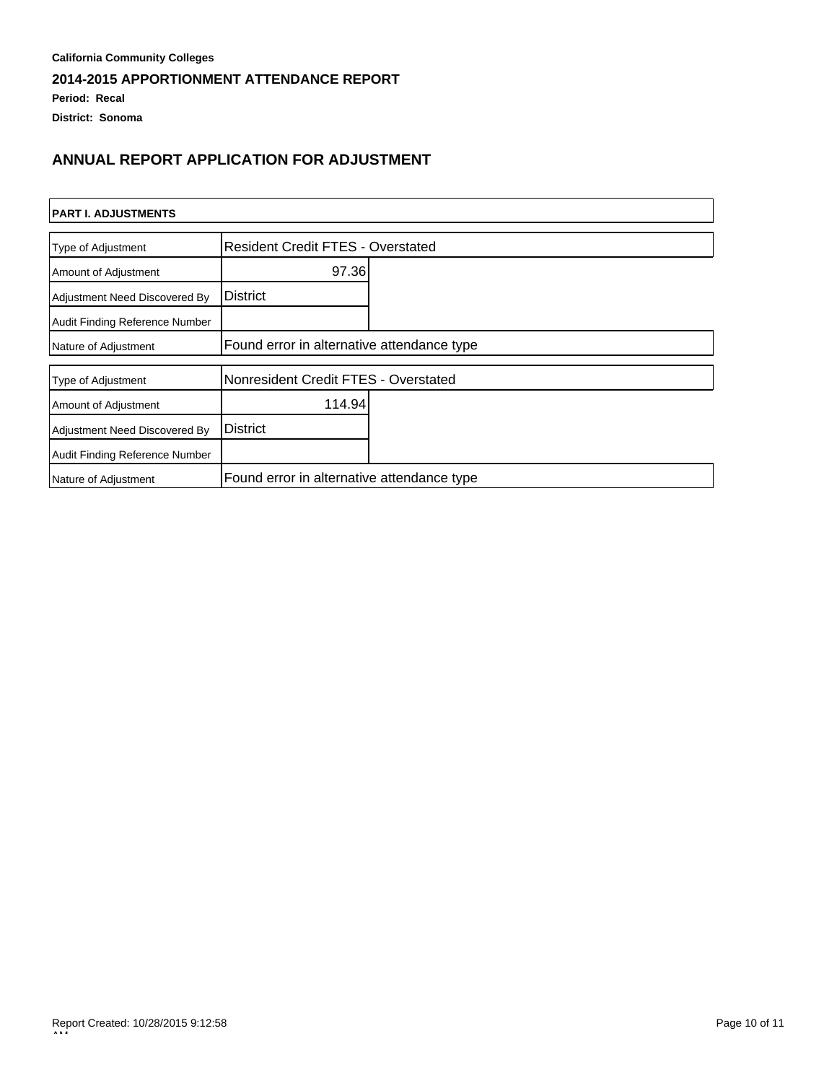### **Period: Recal**

**District: Sonoma**

# **ANNUAL REPORT APPLICATION FOR ADJUSTMENT**

| <b>PART I. ADJUSTMENTS</b>     |                                            |  |  |
|--------------------------------|--------------------------------------------|--|--|
| Type of Adjustment             | <b>Resident Credit FTES - Overstated</b>   |  |  |
| Amount of Adjustment           | 97.36                                      |  |  |
| Adjustment Need Discovered By  | <b>District</b>                            |  |  |
| Audit Finding Reference Number |                                            |  |  |
| Nature of Adjustment           | Found error in alternative attendance type |  |  |
| Type of Adjustment             | Nonresident Credit FTES - Overstated       |  |  |
| Amount of Adjustment           | 114.94                                     |  |  |
| Adjustment Need Discovered By  | <b>District</b>                            |  |  |
| Audit Finding Reference Number |                                            |  |  |
| Nature of Adjustment           | Found error in alternative attendance type |  |  |